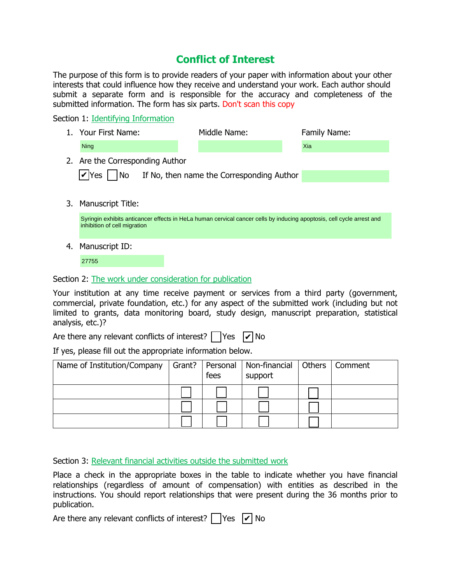## **Conflict of Interest**

The purpose of this form is to provide readers of your paper with information about your other interests that could influence how they receive and understand your work. Each author should submit a separate form and is responsible for the accuracy and completeness of the submitted information. The form has six parts. Don't scan this copy

Section 1: Identifying Information

|    | 1. Your First Name:                                                                                                                                   | Middle Name: |  | Family Name: |  |  |  |  |
|----|-------------------------------------------------------------------------------------------------------------------------------------------------------|--------------|--|--------------|--|--|--|--|
|    | <b>Ning</b>                                                                                                                                           |              |  | Xia          |  |  |  |  |
|    | 2. Are the Corresponding Author                                                                                                                       |              |  |              |  |  |  |  |
|    | $ v $ Yes   $ No$ If No, then name the Corresponding Author                                                                                           |              |  |              |  |  |  |  |
|    |                                                                                                                                                       |              |  |              |  |  |  |  |
|    | 3. Manuscript Title:                                                                                                                                  |              |  |              |  |  |  |  |
|    | Syringin exhibits anticancer effects in HeLa human cervical cancer cells by inducing apoptosis, cell cycle arrest and<br>inhibition of cell migration |              |  |              |  |  |  |  |
| 4. | Manuscript ID:                                                                                                                                        |              |  |              |  |  |  |  |
|    |                                                                                                                                                       |              |  |              |  |  |  |  |

27755

Section 2: The work under consideration for publication

Your institution at any time receive payment or services from a third party (government, commercial, private foundation, etc.) for any aspect of the submitted work (including but not limited to grants, data monitoring board, study design, manuscript preparation, statistical analysis, etc.)?

Are there any relevant conflicts of interest? | | Yes  $|\mathcal{V}|$  No

If yes, please fill out the appropriate information below.

| Name of Institution/Company | Grant? | fees | Personal   Non-financial   Others<br>support | Comment |
|-----------------------------|--------|------|----------------------------------------------|---------|
|                             |        |      |                                              |         |
|                             |        |      |                                              |         |
|                             |        |      |                                              |         |

Section 3: Relevant financial activities outside the submitted work

Place a check in the appropriate boxes in the table to indicate whether you have financial relationships (regardless of amount of compensation) with entities as described in the instructions. You should report relationships that were present during the 36 months prior to publication.

Are there any relevant conflicts of interest? | |Yes  $|\nu|$  No